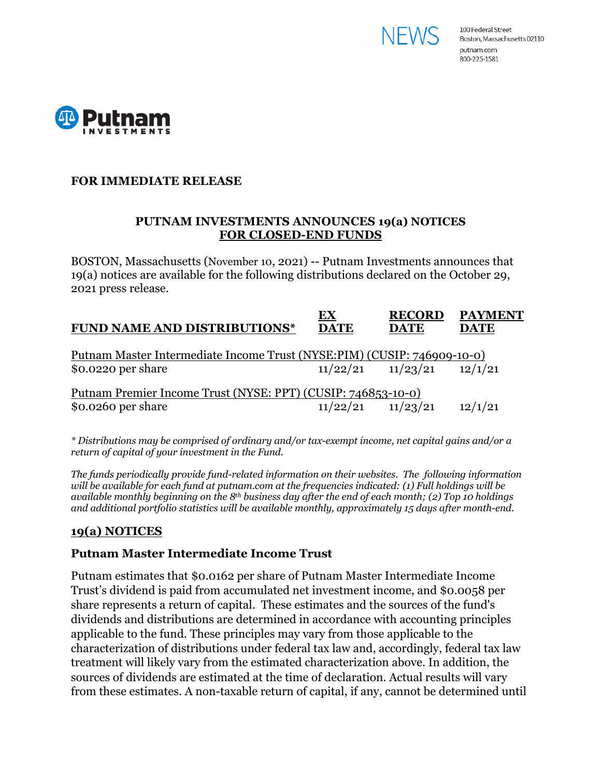



### **FOR IMMEDIATE RELEASE**

#### **PUTNAM INVESTMENTS ANNOUNCES 19(a) NOTICES FOR CLOSED-END FUNDS**

BOSTON, Massachusetts (November 10, 2021) -- Putnam Investments announces that 19(a) notices are available for the following distributions declared on the October 29, 2021 press release.

| <b>FUND NAME AND DISTRIBUTIONS*</b>                                     | EХ<br><b>DATE</b> | <b>RECORD</b><br><b>DATE</b> | <b>PAYMENT</b><br><b>DATE</b> |
|-------------------------------------------------------------------------|-------------------|------------------------------|-------------------------------|
| Putnam Master Intermediate Income Trust (NYSE:PIM) (CUSIP: 746909-10-0) |                   |                              |                               |
| \$0.0220 per share                                                      |                   | $11/22/21$ $11/23/21$        | 12/1/21                       |
| Putnam Premier Income Trust (NYSE: PPT) (CUSIP: 746853-10-0)            |                   |                              |                               |
| \$0.0260 per share                                                      | 11/22/21          | 11/23/21                     | 12/1/21                       |

*\* Distributions may be comprised of ordinary and/or tax-exempt income, net capital gains and/or a return of capital of your investment in the Fund.*

*The funds periodically provide fund-related information on their websites. The following information will be available for each fund at putnam.com at the frequencies indicated: (1) Full holdings will be available monthly beginning on the 8th business day after the end of each month; (2) Top 10 holdings and additional portfolio statistics will be available monthly, approximately 15 days after month-end.*

## **19(a) NOTICES**

#### **Putnam Master Intermediate Income Trust**

Putnam estimates that \$0.0162 per share of Putnam Master Intermediate Income Trust's dividend is paid from accumulated net investment income, and \$0.0058 per share represents a return of capital. These estimates and the sources of the fund's dividends and distributions are determined in accordance with accounting principles applicable to the fund. These principles may vary from those applicable to the characterization of distributions under federal tax law and, accordingly, federal tax law treatment will likely vary from the estimated characterization above. In addition, the sources of dividends are estimated at the time of declaration. Actual results will vary from these estimates. A non-taxable return of capital, if any, cannot be determined until